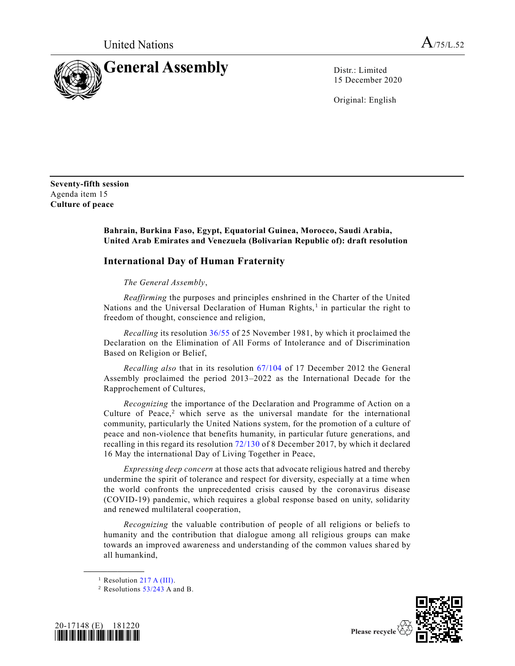

15 December 2020

Original: English

**Seventy-fifth session** Agenda item 15 **Culture of peace**

## **Bahrain, Burkina Faso, Egypt, Equatorial Guinea, Morocco, Saudi Arabia, United Arab Emirates and Venezuela (Bolivarian Republic of): draft resolution**

## **International Day of Human Fraternity**

*The General Assembly*,

*Reaffirming* the purposes and principles enshrined in the Charter of the United Nations and the Universal Declaration of Human Rights,<sup>1</sup> in particular the right to freedom of thought, conscience and religion,

*Recalling* its resolution [36/55](https://undocs.org/en/A/RES/36/55) of 25 November 1981, by which it proclaimed the Declaration on the Elimination of All Forms of Intolerance and of Discrimination Based on Religion or Belief,

*Recalling also* that in its resolution [67/104](https://undocs.org/en/A/RES/67/104) of 17 December 2012 the General Assembly proclaimed the period 2013–2022 as the International Decade for the Rapprochement of Cultures,

*Recognizing* the importance of the Declaration and Programme of Action on a Culture of Peace, $2$  which serve as the universal mandate for the international community, particularly the United Nations system, for the promotion of a culture of peace and non-violence that benefits humanity, in particular future generations, and recalling in this regard its resolution [72/130](https://undocs.org/en/A/RES/72/130) of 8 December 2017, by which it declared 16 May the international Day of Living Together in Peace,

*Expressing deep concern* at those acts that advocate religious hatred and thereby undermine the spirit of tolerance and respect for diversity, especially at a time when the world confronts the unprecedented crisis caused by the coronavirus disease (COVID-19) pandemic, which requires a global response based on unity, solidarity and renewed multilateral cooperation,

*Recognizing* the valuable contribution of people of all religions or beliefs to humanity and the contribution that dialogue among all religious groups can make towards an improved awareness and understanding of the common values shared by all humankind,

**\_\_\_\_\_\_\_\_\_\_\_\_\_\_\_\_\_\_**

<sup>&</sup>lt;sup>2</sup> Resolutions  $53/243$  A and B.





<sup>&</sup>lt;sup>1</sup> Resolution [217 A \(III\).](https://undocs.org/en/A/RES/217(III))